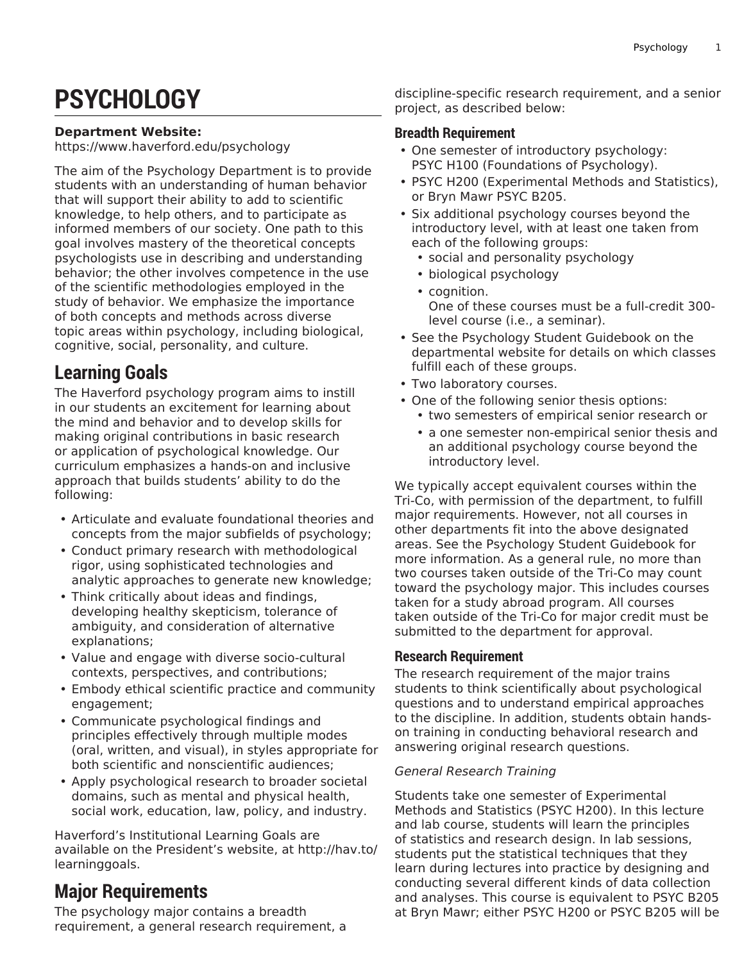# **PSYCHOLOGY**

#### **Department Website:**

[https://www.haverford.edu/psychology](https://www.haverford.edu/psychology/)

The aim of the Psychology Department is to provide students with an understanding of human behavior that will support their ability to add to scientific knowledge, to help others, and to participate as informed members of our society. One path to this goal involves mastery of the theoretical concepts psychologists use in describing and understanding behavior; the other involves competence in the use of the scientific methodologies employed in the study of behavior. We emphasize the importance of both concepts and methods across diverse topic areas within psychology, including biological, cognitive, social, personality, and culture.

# **Learning Goals**

The Haverford psychology program aims to instill in our students an excitement for learning about the mind and behavior and to develop skills for making original contributions in basic research or application of psychological knowledge. Our curriculum emphasizes a hands-on and inclusive approach that builds students' ability to do the following:

- Articulate and evaluate foundational theories and concepts from the major subfields of psychology;
- Conduct primary research with methodological rigor, using sophisticated technologies and analytic approaches to generate new knowledge;
- Think critically about ideas and findings, developing healthy skepticism, tolerance of ambiguity, and consideration of alternative explanations;
- Value and engage with diverse socio-cultural contexts, perspectives, and contributions;
- Embody ethical scientific practice and community engagement;
- Communicate psychological findings and principles effectively through multiple modes (oral, written, and visual), in styles appropriate for both scientific and nonscientific audiences;
- Apply psychological research to broader societal domains, such as mental and physical health, social work, education, law, policy, and industry.

Haverford's Institutional Learning Goals are available on the President's website, at [http://hav.to/](http://hav.to/learninggoals/) [learninggoals](http://hav.to/learninggoals/).

# **Major Requirements**

The psychology major contains a breadth requirement, a general research requirement, a discipline-specific research requirement, and a senior project, as described below:

# **Breadth Requirement**

- One semester of introductory psychology: PSYC H100 (Foundations of Psychology).
- PSYC H200 (Experimental Methods and Statistics), or Bryn Mawr PSYC B205.
- Six additional psychology courses beyond the introductory level, with at least one taken from each of the following groups:
	- social and personality psychology
	- biological psychology
	- cognition. One of these courses must be a full-credit 300 level course (i.e., a seminar).
- See the Psychology Student Guidebook on the departmental website for details on which classes fulfill each of these groups.
- Two laboratory courses.
- One of the following senior thesis options:
	- two semesters of empirical senior research or
	- a one semester non-empirical senior thesis and an additional psychology course beyond the introductory level.

We typically accept equivalent courses within the Tri-Co, with permission of the department, to fulfill major requirements. However, not all courses in other departments fit into the above designated areas. See the Psychology Student Guidebook for more information. As a general rule, no more than two courses taken outside of the Tri-Co may count toward the psychology major. This includes courses taken for a study abroad program. All courses taken outside of the Tri-Co for major credit must be submitted to the department for approval.

# **Research Requirement**

The research requirement of the major trains students to think scientifically about psychological questions and to understand empirical approaches to the discipline. In addition, students obtain handson training in conducting behavioral research and answering original research questions.

### *General Research Training*

Students take one semester of Experimental Methods and Statistics (PSYC H200). In this lecture and lab course, students will learn the principles of statistics and research design. In lab sessions, students put the statistical techniques that they learn during lectures into practice by designing and conducting several different kinds of data collection and analyses. This course is equivalent to PSYC B205 at Bryn Mawr; either PSYC H200 or PSYC B205 will be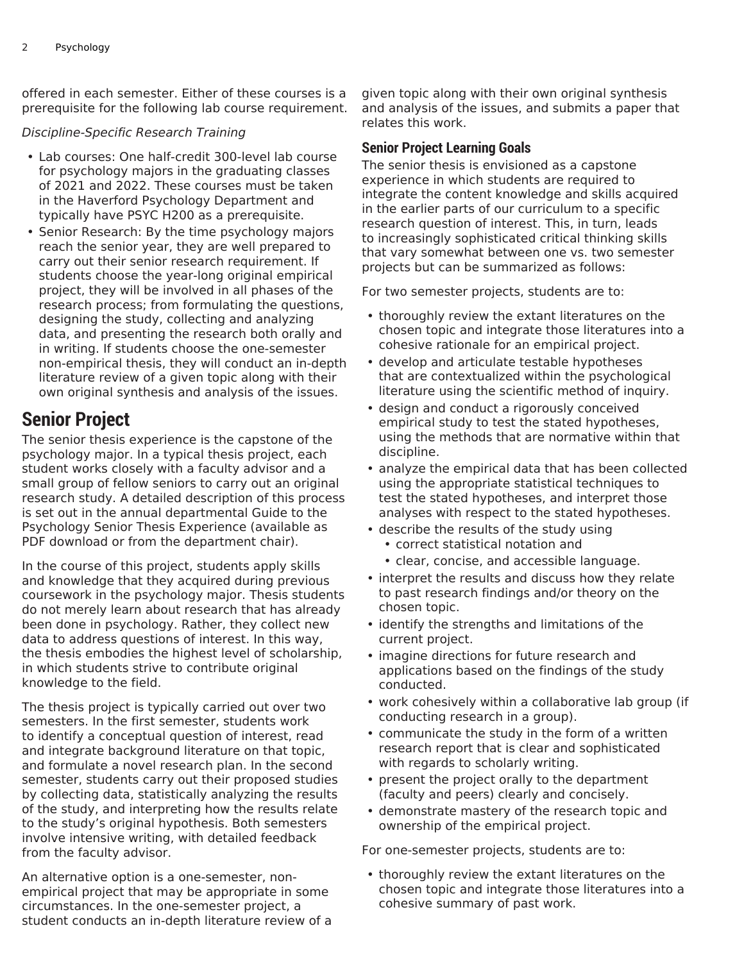offered in each semester. Either of these courses is a prerequisite for the following lab course requirement.

### *Discipline-Specific Research Training*

- Lab courses: One half-credit 300-level lab course for psychology majors in the graduating classes of 2021 and 2022. These courses must be taken in the Haverford Psychology Department and typically have PSYC H200 as a prerequisite.
- Senior Research: By the time psychology majors reach the senior year, they are well prepared to carry out their senior research requirement. If students choose the year-long original empirical project, they will be involved in all phases of the research process; from formulating the questions, designing the study, collecting and analyzing data, and presenting the research both orally and in writing. If students choose the one-semester non-empirical thesis, they will conduct an in-depth literature review of a given topic along with their own original synthesis and analysis of the issues.

# **Senior Project**

The senior thesis experience is the capstone of the psychology major. In a typical thesis project, each student works closely with a faculty advisor and a small group of fellow seniors to carry out an original research study. A detailed description of this process is set out in the annual departmental Guide to the Psychology Senior Thesis Experience (available as PDF download or from the department chair).

In the course of this project, students apply skills and knowledge that they acquired during previous coursework in the psychology major. Thesis students do not merely learn about research that has already been done in psychology. Rather, they collect new data to address questions of interest. In this way, the thesis embodies the highest level of scholarship, in which students strive to contribute original knowledge to the field.

The thesis project is typically carried out over two semesters. In the first semester, students work to identify a conceptual question of interest, read and integrate background literature on that topic, and formulate a novel research plan. In the second semester, students carry out their proposed studies by collecting data, statistically analyzing the results of the study, and interpreting how the results relate to the study's original hypothesis. Both semesters involve intensive writing, with detailed feedback from the faculty advisor.

An alternative option is a one-semester, nonempirical project that may be appropriate in some circumstances. In the one-semester project, a student conducts an in-depth literature review of a given topic along with their own original synthesis and analysis of the issues, and submits a paper that relates this work.

### **Senior Project Learning Goals**

The senior thesis is envisioned as a capstone experience in which students are required to integrate the content knowledge and skills acquired in the earlier parts of our curriculum to a specific research question of interest. This, in turn, leads to increasingly sophisticated critical thinking skills that vary somewhat between one vs. two semester projects but can be summarized as follows:

For two semester projects, students are to:

- thoroughly review the extant literatures on the chosen topic and integrate those literatures into a cohesive rationale for an empirical project.
- develop and articulate testable hypotheses that are contextualized within the psychological literature using the scientific method of inquiry.
- design and conduct a rigorously conceived empirical study to test the stated hypotheses, using the methods that are normative within that discipline.
- analyze the empirical data that has been collected using the appropriate statistical techniques to test the stated hypotheses, and interpret those analyses with respect to the stated hypotheses.
- describe the results of the study using
	- correct statistical notation and
	- clear, concise, and accessible language.
- interpret the results and discuss how they relate to past research findings and/or theory on the chosen topic.
- identify the strengths and limitations of the current project.
- imagine directions for future research and applications based on the findings of the study conducted.
- work cohesively within a collaborative lab group (if conducting research in a group).
- communicate the study in the form of a written research report that is clear and sophisticated with regards to scholarly writing.
- present the project orally to the department (faculty and peers) clearly and concisely.
- demonstrate mastery of the research topic and ownership of the empirical project.

For one-semester projects, students are to:

• thoroughly review the extant literatures on the chosen topic and integrate those literatures into a cohesive summary of past work.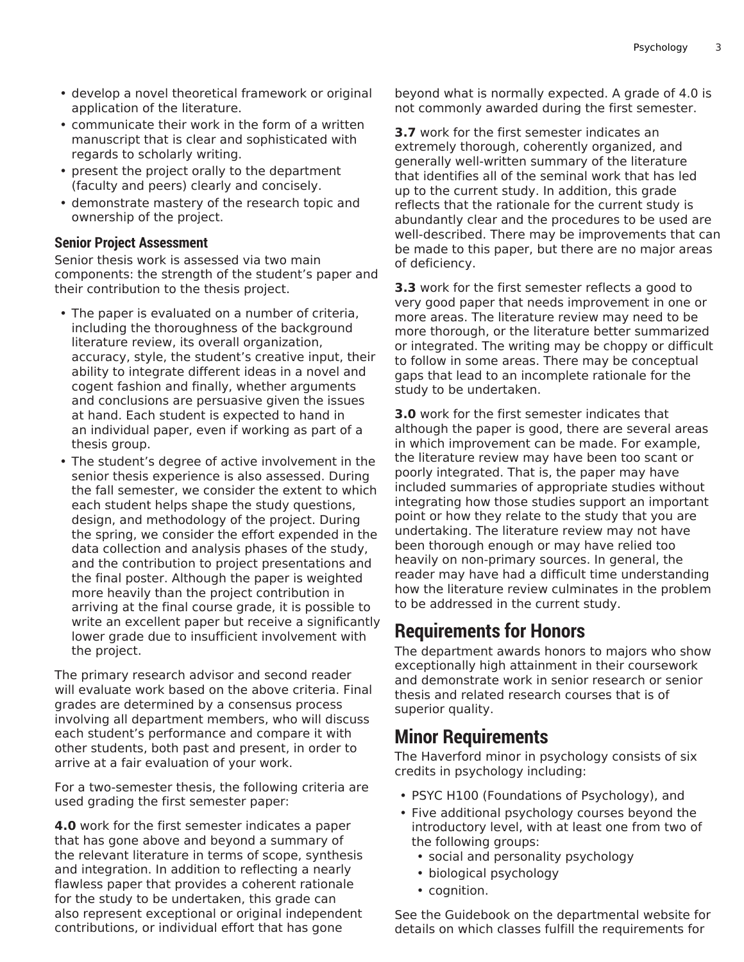- develop a novel theoretical framework or original application of the literature.
- communicate their work in the form of a written manuscript that is clear and sophisticated with regards to scholarly writing.
- present the project orally to the department (faculty and peers) clearly and concisely.
- demonstrate mastery of the research topic and ownership of the project.

### **Senior Project Assessment**

Senior thesis work is assessed via two main components: the strength of the student's paper and their contribution to the thesis project.

- The paper is evaluated on a number of criteria, including the thoroughness of the background literature review, its overall organization, accuracy, style, the student's creative input, their ability to integrate different ideas in a novel and cogent fashion and finally, whether arguments and conclusions are persuasive given the issues at hand. Each student is expected to hand in an individual paper, even if working as part of a thesis group.
- The student's degree of active involvement in the senior thesis experience is also assessed. During the fall semester, we consider the extent to which each student helps shape the study questions, design, and methodology of the project. During the spring, we consider the effort expended in the data collection and analysis phases of the study, and the contribution to project presentations and the final poster. Although the paper is weighted more heavily than the project contribution in arriving at the final course grade, it is possible to write an excellent paper but receive a significantly lower grade due to insufficient involvement with the project.

The primary research advisor and second reader will evaluate work based on the above criteria. Final grades are determined by a consensus process involving all department members, who will discuss each student's performance and compare it with other students, both past and present, in order to arrive at a fair evaluation of your work.

For a two-semester thesis, the following criteria are used grading the first semester paper:

**4.0** work for the first semester indicates a paper that has gone above and beyond a summary of the relevant literature in terms of scope, synthesis and integration. In addition to reflecting a nearly flawless paper that provides a coherent rationale for the study to be undertaken, this grade can also represent exceptional or original independent contributions, or individual effort that has gone

beyond what is normally expected. A grade of 4.0 is not commonly awarded during the first semester.

**3.7** work for the first semester indicates an extremely thorough, coherently organized, and generally well-written summary of the literature that identifies all of the seminal work that has led up to the current study. In addition, this grade reflects that the rationale for the current study is abundantly clear and the procedures to be used are well-described. There may be improvements that can be made to this paper, but there are no major areas of deficiency.

**3.3** work for the first semester reflects a good to very good paper that needs improvement in one or more areas. The literature review may need to be more thorough, or the literature better summarized or integrated. The writing may be choppy or difficult to follow in some areas. There may be conceptual gaps that lead to an incomplete rationale for the study to be undertaken.

**3.0** work for the first semester indicates that although the paper is good, there are several areas in which improvement can be made. For example, the literature review may have been too scant or poorly integrated. That is, the paper may have included summaries of appropriate studies without integrating how those studies support an important point or how they relate to the study that you are undertaking. The literature review may not have been thorough enough or may have relied too heavily on non-primary sources. In general, the reader may have had a difficult time understanding how the literature review culminates in the problem to be addressed in the current study.

# **Requirements for Honors**

The department awards honors to majors who show exceptionally high attainment in their coursework and demonstrate work in senior research or senior thesis and related research courses that is of superior quality.

# **Minor Requirements**

The Haverford minor in psychology consists of six credits in psychology including:

- PSYC H100 (Foundations of Psychology), and
- Five additional psychology courses beyond the introductory level, with at least one from two of the following groups:
	- social and personality psychology
	- biological psychology
	- cognition.

See the Guidebook on the departmental website for details on which classes fulfill the requirements for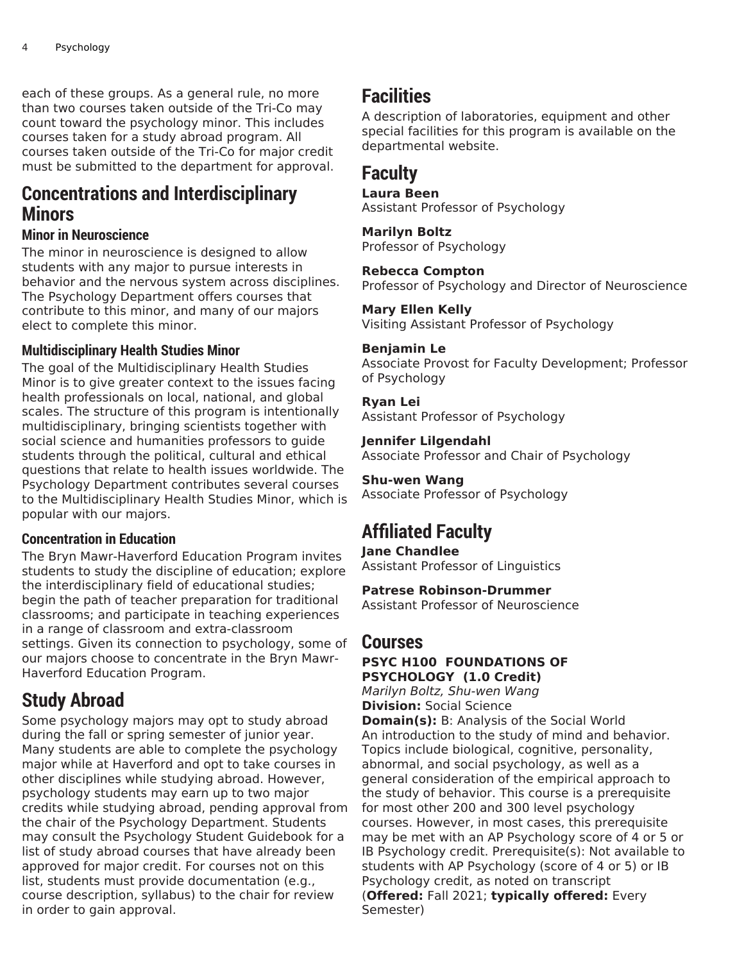each of these groups. As a general rule, no more than two courses taken outside of the Tri-Co may count toward the psychology minor. This includes courses taken for a study abroad program. All courses taken outside of the Tri-Co for major credit must be submitted to the department for approval.

# **Concentrations and Interdisciplinary Minors**

# **Minor in Neuroscience**

The minor in neuroscience is designed to allow students with any major to pursue interests in behavior and the nervous system across disciplines. The Psychology Department offers courses that contribute to this minor, and many of our majors elect to complete this minor.

# **Multidisciplinary Health Studies Minor**

The goal of the Multidisciplinary Health Studies Minor is to give greater context to the issues facing health professionals on local, national, and global scales. The structure of this program is intentionally multidisciplinary, bringing scientists together with social science and humanities professors to guide students through the political, cultural and ethical questions that relate to health issues worldwide. The Psychology Department contributes several courses to the Multidisciplinary Health Studies Minor, which is popular with our majors.

# **Concentration in Education**

The Bryn Mawr-Haverford Education Program invites students to study the discipline of education; explore the interdisciplinary field of educational studies; begin the path of teacher preparation for traditional classrooms; and participate in teaching experiences in a range of classroom and extra-classroom settings. Given its connection to psychology, some of our majors choose to concentrate in the Bryn Mawr-Haverford Education Program.

# **Study Abroad**

Some psychology majors may opt to study abroad during the fall or spring semester of junior year. Many students are able to complete the psychology major while at Haverford and opt to take courses in other disciplines while studying abroad. However, psychology students may earn up to two major credits while studying abroad, pending approval from the chair of the Psychology Department. Students may consult the Psychology Student Guidebook for a list of study abroad courses that have already been approved for major credit. For courses not on this list, students must provide documentation (e.g., course description, syllabus) to the chair for review in order to gain approval.

# **Facilities**

A description of laboratories, equipment and other special facilities for this program is available on the departmental website.

# **Faculty**

#### **Laura Been**

Assistant Professor of Psychology

#### **Marilyn Boltz**

Professor of Psychology

#### **Rebecca Compton**

Professor of Psychology and Director of Neuroscience

#### **Mary Ellen Kelly**

Visiting Assistant Professor of Psychology

#### **Benjamin Le**

Associate Provost for Faculty Development; Professor of Psychology

#### **Ryan Lei**

Assistant Professor of Psychology

#### **Jennifer Lilgendahl**

Associate Professor and Chair of Psychology

### **Shu-wen Wang**

Associate Professor of Psychology

# **Affiliated Faculty**

**Jane Chandlee**

Assistant Professor of Linguistics

#### **Patrese Robinson-Drummer**

Assistant Professor of Neuroscience

# **Courses**

#### **PSYC H100 FOUNDATIONS OF PSYCHOLOGY (1.0 Credit)**

*Marilyn Boltz, Shu-wen Wang* **Division:** Social Science

**Domain(s):** B: Analysis of the Social World An introduction to the study of mind and behavior. Topics include biological, cognitive, personality, abnormal, and social psychology, as well as a general consideration of the empirical approach to the study of behavior. This course is a prerequisite for most other 200 and 300 level psychology courses. However, in most cases, this prerequisite may be met with an AP Psychology score of 4 or 5 or IB Psychology credit. Prerequisite(s): Not available to students with AP Psychology (score of 4 or 5) or IB Psychology credit, as noted on transcript (**Offered:** Fall 2021; **typically offered:** Every Semester)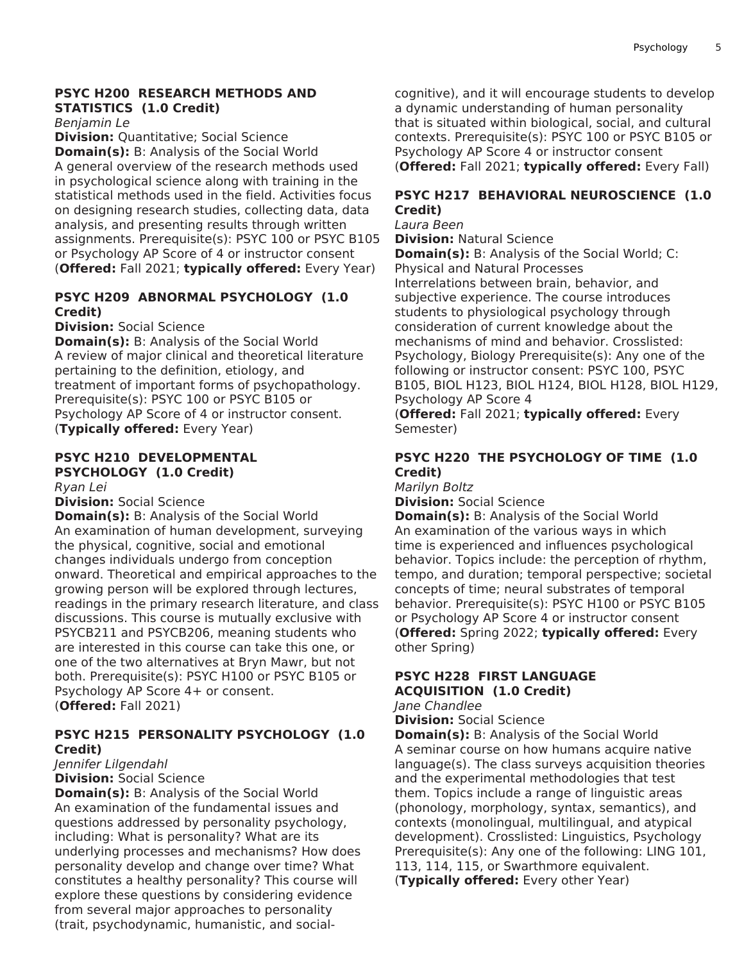### **PSYC H200 RESEARCH METHODS AND STATISTICS (1.0 Credit)**

*Benjamin Le*

**Division:** Quantitative; Social Science **Domain(s):** B: Analysis of the Social World A general overview of the research methods used in psychological science along with training in the statistical methods used in the field. Activities focus on designing research studies, collecting data, data analysis, and presenting results through written assignments. Prerequisite(s): PSYC 100 or PSYC B105 or Psychology AP Score of 4 or instructor consent (**Offered:** Fall 2021; **typically offered:** Every Year)

### **PSYC H209 ABNORMAL PSYCHOLOGY (1.0 Credit)**

**Division:** Social Science

**Domain(s):** B: Analysis of the Social World A review of major clinical and theoretical literature pertaining to the definition, etiology, and treatment of important forms of psychopathology. Prerequisite(s): PSYC 100 or PSYC B105 or Psychology AP Score of 4 or instructor consent. (**Typically offered:** Every Year)

# **PSYC H210 DEVELOPMENTAL PSYCHOLOGY (1.0 Credit)**

*Ryan Lei*

**Division:** Social Science

**Domain(s):** B: Analysis of the Social World An examination of human development, surveying the physical, cognitive, social and emotional changes individuals undergo from conception onward. Theoretical and empirical approaches to the growing person will be explored through lectures, readings in the primary research literature, and class discussions. This course is mutually exclusive with PSYCB211 and PSYCB206, meaning students who are interested in this course can take this one, or one of the two alternatives at Bryn Mawr, but not both. Prerequisite(s): PSYC H100 or PSYC B105 or Psychology AP Score 4+ or consent. (**Offered:** Fall 2021)

### **PSYC H215 PERSONALITY PSYCHOLOGY (1.0 Credit)**

# *Jennifer Lilgendahl*

**Division:** Social Science

**Domain(s):** B: Analysis of the Social World An examination of the fundamental issues and questions addressed by personality psychology, including: What is personality? What are its underlying processes and mechanisms? How does personality develop and change over time? What constitutes a healthy personality? This course will explore these questions by considering evidence from several major approaches to personality (trait, psychodynamic, humanistic, and socialcognitive), and it will encourage students to develop a dynamic understanding of human personality that is situated within biological, social, and cultural contexts. Prerequisite(s): PSYC 100 or PSYC B105 or Psychology AP Score 4 or instructor consent (**Offered:** Fall 2021; **typically offered:** Every Fall)

### **PSYC H217 BEHAVIORAL NEUROSCIENCE (1.0 Credit)**

*Laura Been*

**Division:** Natural Science

**Domain(s):** B: Analysis of the Social World; C: Physical and Natural Processes

Interrelations between brain, behavior, and subjective experience. The course introduces students to physiological psychology through consideration of current knowledge about the mechanisms of mind and behavior. Crosslisted: Psychology, Biology Prerequisite(s): Any one of the following or instructor consent: PSYC 100, PSYC B105, BIOL H123, BIOL H124, BIOL H128, BIOL H129, Psychology AP Score 4

(**Offered:** Fall 2021; **typically offered:** Every Semester)

# **PSYC H220 THE PSYCHOLOGY OF TIME (1.0 Credit)**

*Marilyn Boltz*

**Division:** Social Science

**Domain(s):** B: Analysis of the Social World An examination of the various ways in which time is experienced and influences psychological behavior. Topics include: the perception of rhythm, tempo, and duration; temporal perspective; societal concepts of time; neural substrates of temporal behavior. Prerequisite(s): PSYC H100 or PSYC B105 or Psychology AP Score 4 or instructor consent (**Offered:** Spring 2022; **typically offered:** Every other Spring)

# **PSYC H228 FIRST LANGUAGE ACQUISITION (1.0 Credit)**

*Jane Chandlee*

**Division:** Social Science

**Domain(s):** B: Analysis of the Social World A seminar course on how humans acquire native language(s). The class surveys acquisition theories and the experimental methodologies that test them. Topics include a range of linguistic areas (phonology, morphology, syntax, semantics), and contexts (monolingual, multilingual, and atypical development). Crosslisted: Linguistics, Psychology Prerequisite(s): Any one of the following: LING 101, 113, 114, 115, or Swarthmore equivalent. (**Typically offered:** Every other Year)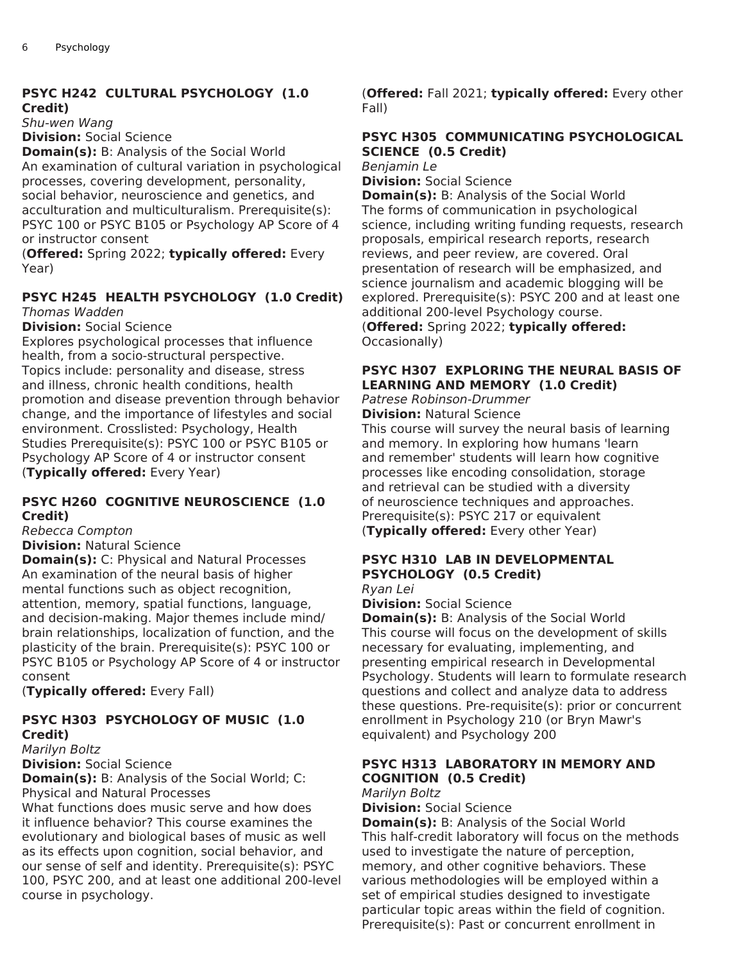### **PSYC H242 CULTURAL PSYCHOLOGY (1.0 Credit)**

*Shu-wen Wang* **Division:** Social Science

**Domain(s):** B: Analysis of the Social World An examination of cultural variation in psychological processes, covering development, personality, social behavior, neuroscience and genetics, and acculturation and multiculturalism. Prerequisite(s): PSYC 100 or PSYC B105 or Psychology AP Score of 4 or instructor consent

(**Offered:** Spring 2022; **typically offered:** Every Year)

# **PSYC H245 HEALTH PSYCHOLOGY (1.0 Credit)**

*Thomas Wadden*

**Division:** Social Science

Explores psychological processes that influence health, from a socio-structural perspective. Topics include: personality and disease, stress and illness, chronic health conditions, health promotion and disease prevention through behavior change, and the importance of lifestyles and social environment. Crosslisted: Psychology, Health Studies Prerequisite(s): PSYC 100 or PSYC B105 or Psychology AP Score of 4 or instructor consent (**Typically offered:** Every Year)

### **PSYC H260 COGNITIVE NEUROSCIENCE (1.0 Credit)**

*Rebecca Compton*

**Division:** Natural Science

**Domain(s):** C: Physical and Natural Processes An examination of the neural basis of higher mental functions such as object recognition, attention, memory, spatial functions, language, and decision-making. Major themes include mind/ brain relationships, localization of function, and the plasticity of the brain. Prerequisite(s): PSYC 100 or PSYC B105 or Psychology AP Score of 4 or instructor consent

(**Typically offered:** Every Fall)

# **PSYC H303 PSYCHOLOGY OF MUSIC (1.0 Credit)**

*Marilyn Boltz*

**Division:** Social Science

**Domain(s):** B: Analysis of the Social World; C: Physical and Natural Processes

What functions does music serve and how does it influence behavior? This course examines the evolutionary and biological bases of music as well as its effects upon cognition, social behavior, and our sense of self and identity. Prerequisite(s): PSYC 100, PSYC 200, and at least one additional 200-level course in psychology.

(**Offered:** Fall 2021; **typically offered:** Every other Fall)

# **PSYC H305 COMMUNICATING PSYCHOLOGICAL SCIENCE (0.5 Credit)**

*Benjamin Le* **Division:** Social Science

**Domain(s):** B: Analysis of the Social World The forms of communication in psychological science, including writing funding requests, research proposals, empirical research reports, research reviews, and peer review, are covered. Oral presentation of research will be emphasized, and science journalism and academic blogging will be explored. Prerequisite(s): PSYC 200 and at least one additional 200-level Psychology course.

(**Offered:** Spring 2022; **typically offered:** Occasionally)

# **PSYC H307 EXPLORING THE NEURAL BASIS OF LEARNING AND MEMORY (1.0 Credit)**

*Patrese Robinson-Drummer*

**Division:** Natural Science

This course will survey the neural basis of learning and memory. In exploring how humans 'learn and remember' students will learn how cognitive processes like encoding consolidation, storage and retrieval can be studied with a diversity of neuroscience techniques and approaches. Prerequisite(s): PSYC 217 or equivalent (**Typically offered:** Every other Year)

# **PSYC H310 LAB IN DEVELOPMENTAL PSYCHOLOGY (0.5 Credit)**

*Ryan Lei*

**Division:** Social Science

**Domain(s):** B: Analysis of the Social World This course will focus on the development of skills necessary for evaluating, implementing, and presenting empirical research in Developmental Psychology. Students will learn to formulate research questions and collect and analyze data to address these questions. Pre-requisite(s): prior or concurrent enrollment in Psychology 210 (or Bryn Mawr's equivalent) and Psychology 200

### **PSYC H313 LABORATORY IN MEMORY AND COGNITION (0.5 Credit)**

*Marilyn Boltz*

**Division:** Social Science

**Domain(s):** B: Analysis of the Social World This half-credit laboratory will focus on the methods used to investigate the nature of perception, memory, and other cognitive behaviors. These various methodologies will be employed within a set of empirical studies designed to investigate particular topic areas within the field of cognition. Prerequisite(s): Past or concurrent enrollment in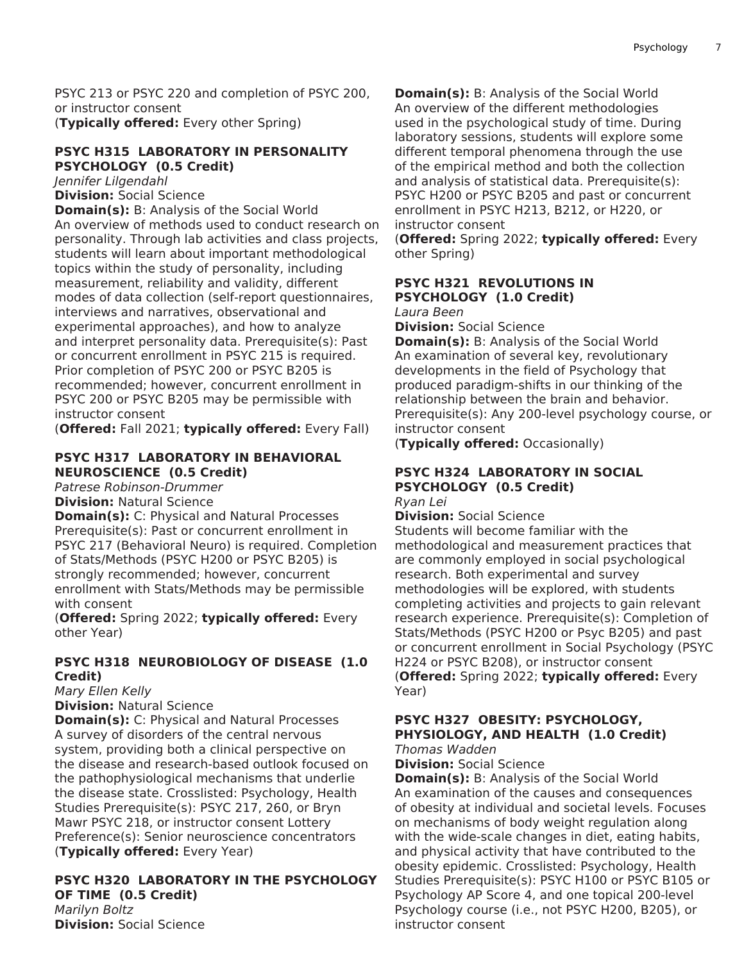PSYC 213 or PSYC 220 and completion of PSYC 200, or instructor consent (**Typically offered:** Every other Spring)

#### **PSYC H315 LABORATORY IN PERSONALITY PSYCHOLOGY (0.5 Credit)**

*Jennifer Lilgendahl*

**Division:** Social Science

**Domain(s):** B: Analysis of the Social World An overview of methods used to conduct research on personality. Through lab activities and class projects, students will learn about important methodological topics within the study of personality, including measurement, reliability and validity, different modes of data collection (self-report questionnaires, interviews and narratives, observational and experimental approaches), and how to analyze and interpret personality data. Prerequisite(s): Past or concurrent enrollment in PSYC 215 is required. Prior completion of PSYC 200 or PSYC B205 is recommended; however, concurrent enrollment in PSYC 200 or PSYC B205 may be permissible with instructor consent

(**Offered:** Fall 2021; **typically offered:** Every Fall)

#### **PSYC H317 LABORATORY IN BEHAVIORAL NEUROSCIENCE (0.5 Credit)**

*Patrese Robinson-Drummer* **Division:** Natural Science

**Domain(s):** C: Physical and Natural Processes Prerequisite(s): Past or concurrent enrollment in PSYC 217 (Behavioral Neuro) is required. Completion of Stats/Methods (PSYC H200 or PSYC B205) is strongly recommended; however, concurrent enrollment with Stats/Methods may be permissible with consent

(**Offered:** Spring 2022; **typically offered:** Every other Year)

#### **PSYC H318 NEUROBIOLOGY OF DISEASE (1.0 Credit)**

*Mary Ellen Kelly*

**Division:** Natural Science

**Domain(s):** C: Physical and Natural Processes A survey of disorders of the central nervous system, providing both a clinical perspective on the disease and research-based outlook focused on the pathophysiological mechanisms that underlie the disease state. Crosslisted: Psychology, Health Studies Prerequisite(s): PSYC 217, 260, or Bryn Mawr PSYC 218, or instructor consent Lottery Preference(s): Senior neuroscience concentrators (**Typically offered:** Every Year)

# **PSYC H320 LABORATORY IN THE PSYCHOLOGY OF TIME (0.5 Credit)**

*Marilyn Boltz* **Division:** Social Science **Domain(s):** B: Analysis of the Social World An overview of the different methodologies used in the psychological study of time. During laboratory sessions, students will explore some different temporal phenomena through the use of the empirical method and both the collection and analysis of statistical data. Prerequisite(s): PSYC H200 or PSYC B205 and past or concurrent enrollment in PSYC H213, B212, or H220, or instructor consent

(**Offered:** Spring 2022; **typically offered:** Every other Spring)

#### **PSYC H321 REVOLUTIONS IN PSYCHOLOGY (1.0 Credit)**

*Laura Been*

**Division:** Social Science

**Domain(s):** B: Analysis of the Social World An examination of several key, revolutionary developments in the field of Psychology that produced paradigm-shifts in our thinking of the relationship between the brain and behavior. Prerequisite(s): Any 200-level psychology course, or instructor consent

(**Typically offered:** Occasionally)

#### **PSYC H324 LABORATORY IN SOCIAL PSYCHOLOGY (0.5 Credit)** *Ryan Lei*

**Division:** Social Science

Students will become familiar with the methodological and measurement practices that are commonly employed in social psychological research. Both experimental and survey methodologies will be explored, with students completing activities and projects to gain relevant research experience. Prerequisite(s): Completion of Stats/Methods (PSYC H200 or Psyc B205) and past or concurrent enrollment in Social Psychology (PSYC H224 or PSYC B208), or instructor consent (**Offered:** Spring 2022; **typically offered:** Every Year)

#### **PSYC H327 OBESITY: PSYCHOLOGY, PHYSIOLOGY, AND HEALTH (1.0 Credit)** *Thomas Wadden*

**Division:** Social Science

**Domain(s):** B: Analysis of the Social World An examination of the causes and consequences of obesity at individual and societal levels. Focuses on mechanisms of body weight regulation along with the wide-scale changes in diet, eating habits, and physical activity that have contributed to the obesity epidemic. Crosslisted: Psychology, Health Studies Prerequisite(s): PSYC H100 or PSYC B105 or Psychology AP Score 4, and one topical 200-level Psychology course (i.e., not PSYC H200, B205), or instructor consent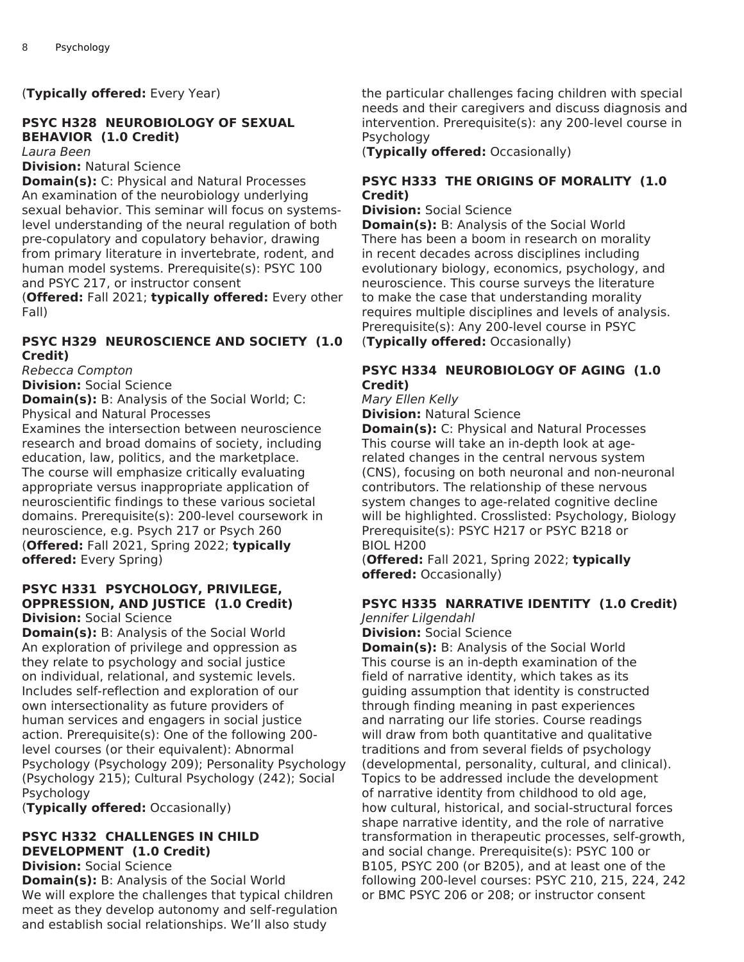(**Typically offered:** Every Year)

# **PSYC H328 NEUROBIOLOGY OF SEXUAL BEHAVIOR (1.0 Credit)**

*Laura Been*

#### **Division:** Natural Science

**Domain(s):** C: Physical and Natural Processes An examination of the neurobiology underlying sexual behavior. This seminar will focus on systemslevel understanding of the neural regulation of both pre-copulatory and copulatory behavior, drawing from primary literature in invertebrate, rodent, and human model systems. Prerequisite(s): PSYC 100 and PSYC 217, or instructor consent

(**Offered:** Fall 2021; **typically offered:** Every other Fall)

#### **PSYC H329 NEUROSCIENCE AND SOCIETY (1.0 Credit)**

*Rebecca Compton* **Division:** Social Science

**Domain(s):** B: Analysis of the Social World; C: Physical and Natural Processes

Examines the intersection between neuroscience research and broad domains of society, including education, law, politics, and the marketplace. The course will emphasize critically evaluating appropriate versus inappropriate application of neuroscientific findings to these various societal domains. Prerequisite(s): 200-level coursework in neuroscience, e.g. Psych 217 or Psych 260 (**Offered:** Fall 2021, Spring 2022; **typically offered:** Every Spring)

#### **PSYC H331 PSYCHOLOGY, PRIVILEGE, OPPRESSION, AND JUSTICE (1.0 Credit) Division:** Social Science

**Domain(s):** B: Analysis of the Social World An exploration of privilege and oppression as they relate to psychology and social justice on individual, relational, and systemic levels. Includes self-reflection and exploration of our own intersectionality as future providers of human services and engagers in social justice action. Prerequisite(s): One of the following 200 level courses (or their equivalent): Abnormal Psychology (Psychology 209); Personality Psychology (Psychology 215); Cultural Psychology (242); Social Psychology

(**Typically offered:** Occasionally)

#### **PSYC H332 CHALLENGES IN CHILD DEVELOPMENT (1.0 Credit)**

**Division:** Social Science

**Domain(s):** B: Analysis of the Social World We will explore the challenges that typical children meet as they develop autonomy and self-regulation and establish social relationships. We'll also study

the particular challenges facing children with special needs and their caregivers and discuss diagnosis and intervention. Prerequisite(s): any 200-level course in Psychology

(**Typically offered:** Occasionally)

#### **PSYC H333 THE ORIGINS OF MORALITY (1.0 Credit)**

**Division:** Social Science

**Domain(s):** B: Analysis of the Social World There has been a boom in research on morality in recent decades across disciplines including evolutionary biology, economics, psychology, and neuroscience. This course surveys the literature to make the case that understanding morality requires multiple disciplines and levels of analysis. Prerequisite(s): Any 200-level course in PSYC (**Typically offered:** Occasionally)

#### **PSYC H334 NEUROBIOLOGY OF AGING (1.0 Credit)**

*Mary Ellen Kelly*

**Division:** Natural Science

**Domain(s):** C: Physical and Natural Processes This course will take an in-depth look at agerelated changes in the central nervous system (CNS), focusing on both neuronal and non-neuronal contributors. The relationship of these nervous system changes to age-related cognitive decline will be highlighted. Crosslisted: Psychology, Biology Prerequisite(s): PSYC H217 or PSYC B218 or BIOL H200

(**Offered:** Fall 2021, Spring 2022; **typically offered:** Occasionally)

### **PSYC H335 NARRATIVE IDENTITY (1.0 Credit)**

*Jennifer Lilgendahl*

**Division:** Social Science **Domain(s):** B: Analysis of the Social World This course is an in-depth examination of the field of narrative identity, which takes as its guiding assumption that identity is constructed through finding meaning in past experiences and narrating our life stories. Course readings will draw from both quantitative and qualitative traditions and from several fields of psychology (developmental, personality, cultural, and clinical). Topics to be addressed include the development of narrative identity from childhood to old age, how cultural, historical, and social-structural forces shape narrative identity, and the role of narrative transformation in therapeutic processes, self-growth, and social change. Prerequisite(s): PSYC 100 or B105, PSYC 200 (or B205), and at least one of the following 200-level courses: PSYC 210, 215, 224, 242 or BMC PSYC 206 or 208; or instructor consent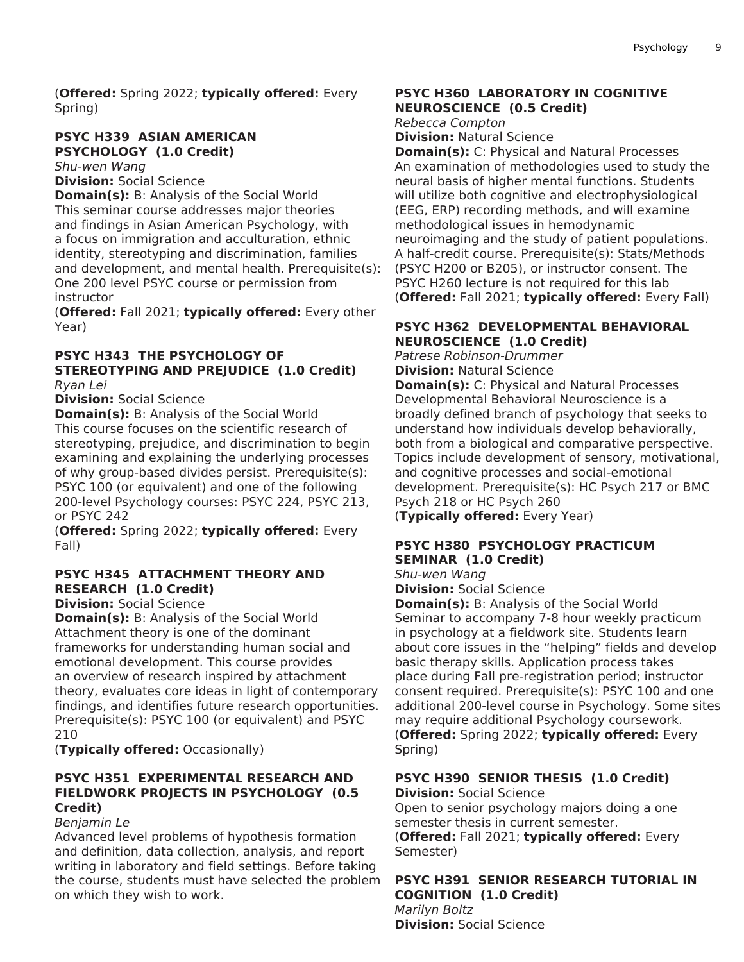(**Offered:** Spring 2022; **typically offered:** Every Spring)

### **PSYC H339 ASIAN AMERICAN PSYCHOLOGY (1.0 Credit)**

*Shu-wen Wang*

**Division:** Social Science

**Domain(s):** B: Analysis of the Social World This seminar course addresses major theories and findings in Asian American Psychology, with a focus on immigration and acculturation, ethnic identity, stereotyping and discrimination, families and development, and mental health. Prerequisite(s): One 200 level PSYC course or permission from instructor

(**Offered:** Fall 2021; **typically offered:** Every other Year)

#### **PSYC H343 THE PSYCHOLOGY OF STEREOTYPING AND PREJUDICE (1.0 Credit)** *Ryan Lei*

**Division:** Social Science

**Domain(s):** B: Analysis of the Social World This course focuses on the scientific research of stereotyping, prejudice, and discrimination to begin examining and explaining the underlying processes of why group-based divides persist. Prerequisite(s): PSYC 100 (or equivalent) and one of the following 200-level Psychology courses: PSYC 224, PSYC 213, or PSYC 242

(**Offered:** Spring 2022; **typically offered:** Every Fall)

# **PSYC H345 ATTACHMENT THEORY AND RESEARCH (1.0 Credit)**

**Division:** Social Science

**Domain(s):** B: Analysis of the Social World Attachment theory is one of the dominant frameworks for understanding human social and emotional development. This course provides an overview of research inspired by attachment theory, evaluates core ideas in light of contemporary findings, and identifies future research opportunities. Prerequisite(s): PSYC 100 (or equivalent) and PSYC 210

(**Typically offered:** Occasionally)

### **PSYC H351 EXPERIMENTAL RESEARCH AND FIELDWORK PROJECTS IN PSYCHOLOGY (0.5 Credit)**

*Benjamin Le*

Advanced level problems of hypothesis formation and definition, data collection, analysis, and report writing in laboratory and field settings. Before taking the course, students must have selected the problem on which they wish to work.

### **PSYC H360 LABORATORY IN COGNITIVE NEUROSCIENCE (0.5 Credit)**

*Rebecca Compton*

**Division:** Natural Science

**Domain(s):** C: Physical and Natural Processes An examination of methodologies used to study the neural basis of higher mental functions. Students will utilize both cognitive and electrophysiological (EEG, ERP) recording methods, and will examine methodological issues in hemodynamic neuroimaging and the study of patient populations. A half-credit course. Prerequisite(s): Stats/Methods (PSYC H200 or B205), or instructor consent. The PSYC H260 lecture is not required for this lab (**Offered:** Fall 2021; **typically offered:** Every Fall)

### **PSYC H362 DEVELOPMENTAL BEHAVIORAL NEUROSCIENCE (1.0 Credit)**

*Patrese Robinson-Drummer* **Division:** Natural Science

**Domain(s):** C: Physical and Natural Processes Developmental Behavioral Neuroscience is a broadly defined branch of psychology that seeks to understand how individuals develop behaviorally, both from a biological and comparative perspective. Topics include development of sensory, motivational, and cognitive processes and social-emotional development. Prerequisite(s): HC Psych 217 or BMC Psych 218 or HC Psych 260

(**Typically offered:** Every Year)

# **PSYC H380 PSYCHOLOGY PRACTICUM SEMINAR (1.0 Credit)**

*Shu-wen Wang*

**Division:** Social Science

**Domain(s):** B: Analysis of the Social World Seminar to accompany 7-8 hour weekly practicum in psychology at a fieldwork site. Students learn about core issues in the "helping" fields and develop basic therapy skills. Application process takes place during Fall pre-registration period; instructor consent required. Prerequisite(s): PSYC 100 and one additional 200-level course in Psychology. Some sites may require additional Psychology coursework. (**Offered:** Spring 2022; **typically offered:** Every Spring)

# **PSYC H390 SENIOR THESIS (1.0 Credit)**

**Division:** Social Science Open to senior psychology majors doing a one semester thesis in current semester. (**Offered:** Fall 2021; **typically offered:** Every Semester)

#### **PSYC H391 SENIOR RESEARCH TUTORIAL IN COGNITION (1.0 Credit)** *Marilyn Boltz* **Division:** Social Science